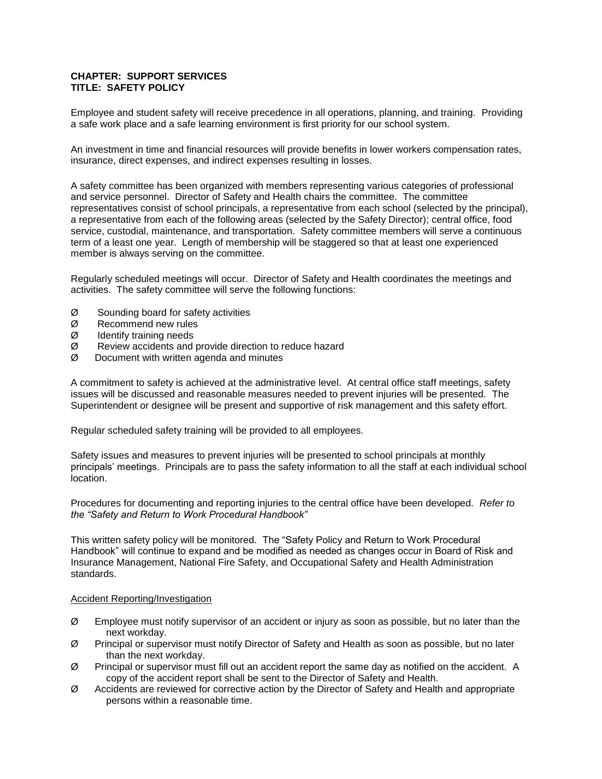## **CHAPTER: SUPPORT SERVICES TITLE: SAFETY POLICY**

Employee and student safety will receive precedence in all operations, planning, and training. Providing a safe work place and a safe learning environment is first priority for our school system.

An investment in time and financial resources will provide benefits in lower workers compensation rates, insurance, direct expenses, and indirect expenses resulting in losses.

A safety committee has been organized with members representing various categories of professional and service personnel. Director of Safety and Health chairs the committee. The committee representatives consist of school principals, a representative from each school (selected by the principal), a representative from each of the following areas (selected by the Safety Director); central office, food service, custodial, maintenance, and transportation. Safety committee members will serve a continuous term of a least one year. Length of membership will be staggered so that at least one experienced member is always serving on the committee.

Regularly scheduled meetings will occur. Director of Safety and Health coordinates the meetings and activities. The safety committee will serve the following functions:

- $\varnothing$  Sounding board for safety activities
- Ø Recommend new rules
- Ø Identify training needs
- Ø Review accidents and provide direction to reduce hazard
- $\emptyset$  Document with written agenda and minutes

A commitment to safety is achieved at the administrative level. At central office staff meetings, safety issues will be discussed and reasonable measures needed to prevent injuries will be presented. The Superintendent or designee will be present and supportive of risk management and this safety effort.

Regular scheduled safety training will be provided to all employees.

Safety issues and measures to prevent injuries will be presented to school principals at monthly principals' meetings. Principals are to pass the safety information to all the staff at each individual school location.

Procedures for documenting and reporting injuries to the central office have been developed. *Refer to the "Safety and Return to Work Procedural Handbook"* 

This written safety policy will be monitored. The "Safety Policy and Return to Work Procedural Handbook" will continue to expand and be modified as needed as changes occur in Board of Risk and Insurance Management, National Fire Safety, and Occupational Safety and Health Administration standards.

## Accident Reporting/Investigation

- $\varnothing$  Employee must notify supervisor of an accident or injury as soon as possible, but no later than the next workday.
- Ø Principal or supervisor must notify Director of Safety and Health as soon as possible, but no later than the next workday.
- $\varnothing$  Principal or supervisor must fill out an accident report the same day as notified on the accident. A copy of the accident report shall be sent to the Director of Safety and Health.
- $\varnothing$  Accidents are reviewed for corrective action by the Director of Safety and Health and appropriate persons within a reasonable time.